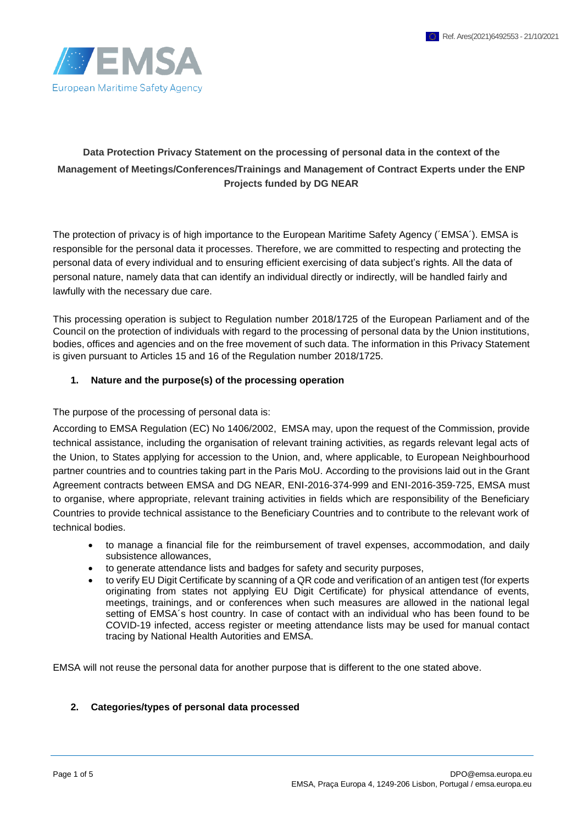

# **Data Protection Privacy Statement on the processing of personal data in the context of the Management of Meetings/Conferences/Trainings and Management of Contract Experts under the ENP Projects funded by DG NEAR**

The protection of privacy is of high importance to the European Maritime Safety Agency (´EMSA´). EMSA is responsible for the personal data it processes. Therefore, we are committed to respecting and protecting the personal data of every individual and to ensuring efficient exercising of data subject's rights. All the data of personal nature, namely data that can identify an individual directly or indirectly, will be handled fairly and lawfully with the necessary due care.

This processing operation is subject to Regulation number 2018/1725 of the European Parliament and of the Council on the protection of individuals with regard to the processing of personal data by the Union institutions, bodies, offices and agencies and on the free movement of such data. The information in this Privacy Statement is given pursuant to Articles 15 and 16 of the Regulation number 2018/1725.

#### **1. Nature and the purpose(s) of the processing operation**

The purpose of the processing of personal data is:

According to EMSA Regulation (EC) No 1406/2002, EMSA may, upon the request of the Commission, provide technical assistance, including the organisation of relevant training activities, as regards relevant legal acts of the Union, to States applying for accession to the Union, and, where applicable, to European Neighbourhood partner countries and to countries taking part in the Paris MoU. According to the provisions laid out in the Grant Agreement contracts between EMSA and DG NEAR, ENI-2016-374-999 and ENI-2016-359-725, EMSA must to organise, where appropriate, relevant training activities in fields which are responsibility of the Beneficiary Countries to provide technical assistance to the Beneficiary Countries and to contribute to the relevant work of technical bodies.

- to manage a financial file for the reimbursement of travel expenses, accommodation, and daily subsistence allowances,
- to generate attendance lists and badges for safety and security purposes,
- to verify EU Digit Certificate by scanning of a QR code and verification of an antigen test (for experts originating from states not applying EU Digit Certificate) for physical attendance of events, meetings, trainings, and or conferences when such measures are allowed in the national legal setting of EMSA´s host country. In case of contact with an individual who has been found to be COVID-19 infected, access register or meeting attendance lists may be used for manual contact tracing by National Health Autorities and EMSA.

EMSA will not reuse the personal data for another purpose that is different to the one stated above.

#### **2. Categories/types of personal data processed**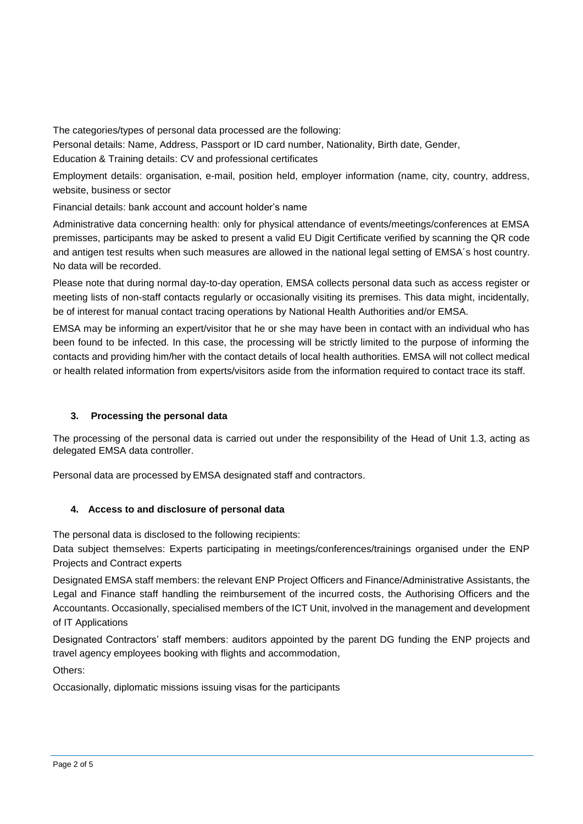The categories/types of personal data processed are the following:

Personal details: Name, Address, Passport or ID card number, Nationality, Birth date, Gender, Education & Training details: CV and professional certificates

Employment details: organisation, e-mail, position held, employer information (name, city, country, address, website, business or sector

Financial details: bank account and account holder's name

Administrative data concerning health: only for physical attendance of events/meetings/conferences at EMSA premisses, participants may be asked to present a valid EU Digit Certificate verified by scanning the QR code and antigen test results when such measures are allowed in the national legal setting of EMSA´s host country. No data will be recorded.

Please note that during normal day-to-day operation, EMSA collects personal data such as access register or meeting lists of non-staff contacts regularly or occasionally visiting its premises. This data might, incidentally, be of interest for manual contact tracing operations by National Health Authorities and/or EMSA.

EMSA may be informing an expert/visitor that he or she may have been in contact with an individual who has been found to be infected. In this case, the processing will be strictly limited to the purpose of informing the contacts and providing him/her with the contact details of local health authorities. EMSA will not collect medical or health related information from experts/visitors aside from the information required to contact trace its staff.

## **3. Processing the personal data**

The processing of the personal data is carried out under the responsibility of the Head of Unit 1.3, acting as delegated EMSA data controller.

Personal data are processed by EMSA designated staff and contractors.

## **4. Access to and disclosure of personal data**

The personal data is disclosed to the following recipients:

Data subject themselves: Experts participating in meetings/conferences/trainings organised under the ENP Projects and Contract experts

Designated EMSA staff members: the relevant ENP Project Officers and Finance/Administrative Assistants, the Legal and Finance staff handling the reimbursement of the incurred costs, the Authorising Officers and the Accountants. Occasionally, specialised members of the ICT Unit, involved in the management and development of IT Applications

Designated Contractors' staff members: auditors appointed by the parent DG funding the ENP projects and travel agency employees booking with flights and accommodation,

Others:

Occasionally, diplomatic missions issuing visas for the participants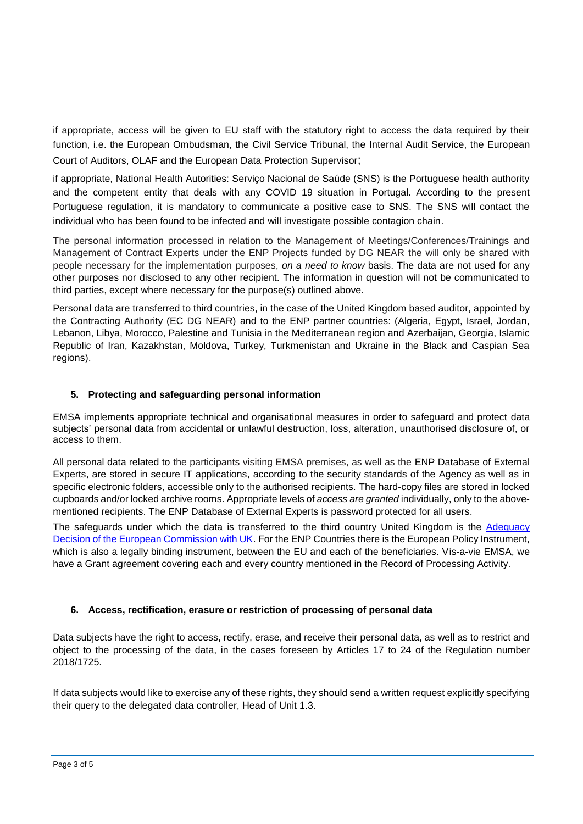if appropriate, access will be given to EU staff with the statutory right to access the data required by their function, i.e. the European Ombudsman, the Civil Service Tribunal, the Internal Audit Service, the European Court of Auditors, OLAF and the European Data Protection Supervisor;

if appropriate, National Health Autorities: Serviço Nacional de Saúde (SNS) is the Portuguese health authority and the competent entity that deals with any COVID 19 situation in Portugal. According to the present Portuguese regulation, it is mandatory to communicate a positive case to SNS. The SNS will contact the individual who has been found to be infected and will investigate possible contagion chain.

The personal information processed in relation to the Management of Meetings/Conferences/Trainings and Management of Contract Experts under the ENP Projects funded by DG NEAR the will only be shared with people necessary for the implementation purposes, *on a need to know* basis. The data are not used for any other purposes nor disclosed to any other recipient. The information in question will not be communicated to third parties, except where necessary for the purpose(s) outlined above.

Personal data are transferred to third countries, in the case of the United Kingdom based auditor, appointed by the Contracting Authority (EC DG NEAR) and to the ENP partner countries: (Algeria, Egypt, Israel, Jordan, Lebanon, Libya, Morocco, Palestine and Tunisia in the Mediterranean region and Azerbaijan, Georgia, Islamic Republic of Iran, Kazakhstan, Moldova, Turkey, Turkmenistan and Ukraine in the Black and Caspian Sea regions).

## **5. Protecting and safeguarding personal information**

EMSA implements appropriate technical and organisational measures in order to safeguard and protect data subjects' personal data from accidental or unlawful destruction, loss, alteration, unauthorised disclosure of, or access to them.

All personal data related to the participants visiting EMSA premises, as well as the ENP Database of External Experts, are stored in secure IT applications, according to the security standards of the Agency as well as in specific electronic folders, accessible only to the authorised recipients. The hard-copy files are stored in locked cupboards and/or locked archive rooms. Appropriate levels of *access are granted* individually, only to the abovementioned recipients. The ENP Database of External Experts is password protected for all users.

The safeguards under which the data is transferred to the third country United Kingdom is the [Adequacy](https://ec.europa.eu/info/files/decision-adequate-protection-personal-data-united-kingdom-general-data-protection-regulation_en)  [Decision of the European Commission with UK.](https://ec.europa.eu/info/files/decision-adequate-protection-personal-data-united-kingdom-general-data-protection-regulation_en) For the ENP Countries there is the European Policy Instrument, which is also a legally binding instrument, between the EU and each of the beneficiaries. Vis-a-vie EMSA, we have a Grant agreement covering each and every country mentioned in the Record of Processing Activity.

## **6. Access, rectification, erasure or restriction of processing of personal data**

Data subjects have the right to access, rectify, erase, and receive their personal data, as well as to restrict and object to the processing of the data, in the cases foreseen by Articles 17 to 24 of the Regulation number 2018/1725.

If data subjects would like to exercise any of these rights, they should send a written request explicitly specifying their query to the delegated data controller, Head of Unit 1.3.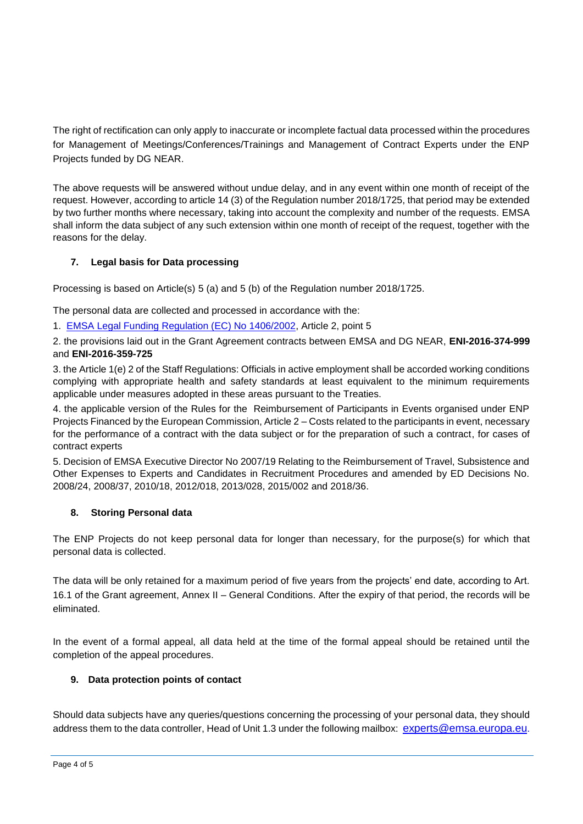The right of rectification can only apply to inaccurate or incomplete factual data processed within the procedures for Management of Meetings/Conferences/Trainings and Management of Contract Experts under the ENP Projects funded by DG NEAR.

The above requests will be answered without undue delay, and in any event within one month of receipt of the request. However, according to article 14 (3) of the Regulation number 2018/1725, that period may be extended by two further months where necessary, taking into account the complexity and number of the requests. EMSA shall inform the data subject of any such extension within one month of receipt of the request, together with the reasons for the delay.

## **7. Legal basis for Data processing**

Processing is based on Article(s) 5 (a) and 5 (b) of the Regulation number 2018/1725.

The personal data are collected and processed in accordance with the:

1. [EMSA Legal Funding Regulation \(EC\) No 1406/2002,](https://eur-lex.europa.eu/legal-content/EN/TXT/PDF/?uri=CELEX:32002R1406&from=EN) Article 2, point 5

2. the provisions laid out in the Grant Agreement contracts between EMSA and DG NEAR, **ENI-2016-374-999** and **ENI-2016-359-725**

3. the Article 1(e) 2 of the Staff Regulations: Officials in active employment shall be accorded working conditions complying with appropriate health and safety standards at least equivalent to the minimum requirements applicable under measures adopted in these areas pursuant to the Treaties.

4. the applicable version of the Rules for the Reimbursement of Participants in Events organised under ENP Projects Financed by the European Commission, Article 2 – Costs related to the participants in event, necessary for the performance of a contract with the data subject or for the preparation of such a contract, for cases of contract experts

5. Decision of EMSA Executive Director No 2007/19 Relating to the Reimbursement of Travel, Subsistence and Other Expenses to Experts and Candidates in Recruitment Procedures and amended by ED Decisions No. 2008/24, 2008/37, 2010/18, 2012/018, 2013/028, 2015/002 and 2018/36.

## **8. Storing Personal data**

The ENP Projects do not keep personal data for longer than necessary, for the purpose(s) for which that personal data is collected.

The data will be only retained for a maximum period of five years from the projects' end date, according to Art. 16.1 of the Grant agreement, Annex II – General Conditions. After the expiry of that period, the records will be eliminated.

In the event of a formal appeal, all data held at the time of the formal appeal should be retained until the completion of the appeal procedures.

## **9. Data protection points of contact**

Should data subjects have any queries/questions concerning the processing of your personal data, they should address them to the data controller, Head of Unit 1.3 under the following mailbox: experts@emsa.europa.eu.